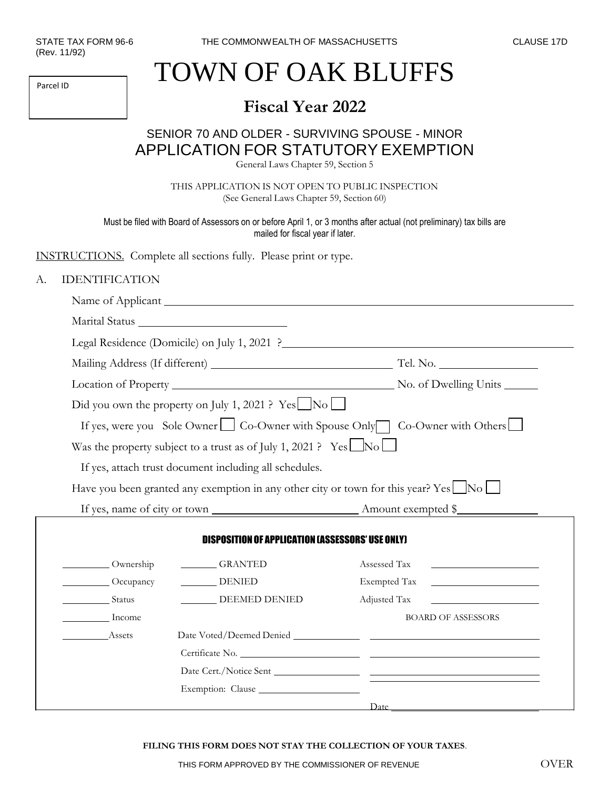Parcel ID

## TOWN OF OAK BLUFFS

## **Fiscal Year 2022**

## SENIOR 70 AND OLDER - SURVIVING SPOUSE - MINOR APPLICATION FOR STATUTORY EXEMPTION

General Laws Chapter 59, Section 5

THIS APPLICATION IS NOT OPEN TO PUBLIC INSPECTION (See General Laws Chapter 59, Section 60)

Must be filed with Board of Assessors on or before April 1, or 3 months after actual (not preliminary) tax bills are mailed for fiscal year if later.

INSTRUCTIONS. Complete all sections fully. Please print or type.

## A. IDENTIFICATION

|               | Did you own the property on July 1, 2021 ? Yes $\Box$ No $\Box$               |                                                                                     |  |
|---------------|-------------------------------------------------------------------------------|-------------------------------------------------------------------------------------|--|
|               |                                                                               | If yes, were you Sole Owner   Co-Owner with Spouse Only   Co-Owner with Others      |  |
|               | Was the property subject to a trust as of July 1, 2021 ? Yes $\Box$ No $\Box$ |                                                                                     |  |
|               | If yes, attach trust document including all schedules.                        |                                                                                     |  |
|               |                                                                               | Have you been granted any exemption in any other city or town for this year? Yes No |  |
|               |                                                                               |                                                                                     |  |
|               |                                                                               |                                                                                     |  |
|               | <b>DISPOSITION OF APPLICATION (ASSESSORS' USE ONLY)</b>                       |                                                                                     |  |
| Ownership     | GRANTED                                                                       | Assessed Tax                                                                        |  |
| Occupancy     | DENIED                                                                        | Exempted Tax<br><u> 1989 - Johann Barbara, martxa alemaniar populari (</u>          |  |
| <b>Status</b> | DEEMED DENIED                                                                 | Adjusted Tax                                                                        |  |
| Income        |                                                                               | <b>BOARD OF ASSESSORS</b>                                                           |  |
| Assets        |                                                                               |                                                                                     |  |
|               |                                                                               |                                                                                     |  |
|               |                                                                               |                                                                                     |  |
|               | Exemption: Clause                                                             |                                                                                     |  |
|               |                                                                               | Date                                                                                |  |

**FILING THIS FORM DOES NOT STAY THE COLLECTION OF YOUR TAXES**.